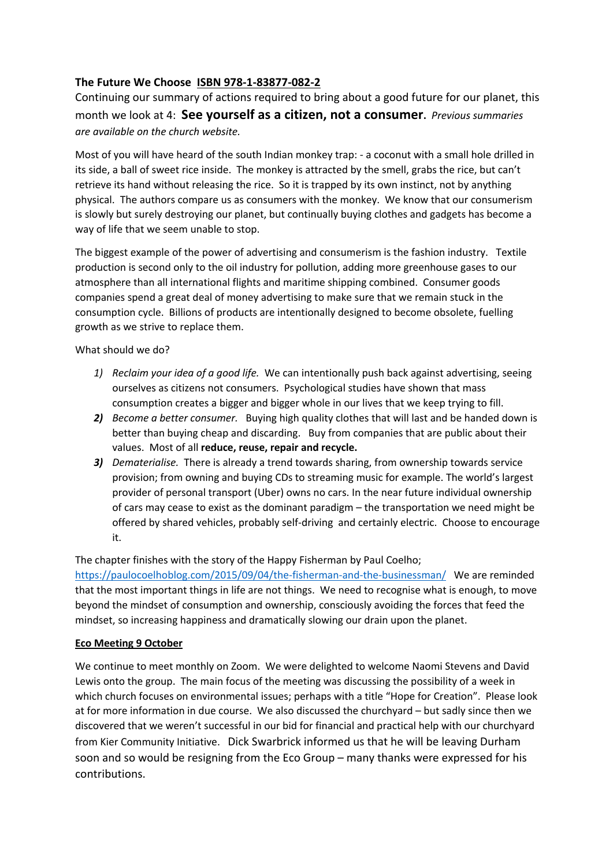# **The Future We Choose ISBN 978-1-83877-082-2**

Continuing our summary of actions required to bring about a good future for our planet, this month we look at 4: **See yourself as a citizen, not a consumer.** *Previous summaries are available on the church website.*

Most of you will have heard of the south Indian monkey trap: - a coconut with a small hole drilled in its side, a ball of sweet rice inside. The monkey is attracted by the smell, grabs the rice, but can't retrieve its hand without releasing the rice. So it is trapped by its own instinct, not by anything physical. The authors compare us as consumers with the monkey. We know that our consumerism is slowly but surely destroying our planet, but continually buying clothes and gadgets has become a way of life that we seem unable to stop.

The biggest example of the power of advertising and consumerism is the fashion industry. Textile production is second only to the oil industry for pollution, adding more greenhouse gases to our atmosphere than all international flights and maritime shipping combined. Consumer goods companies spend a great deal of money advertising to make sure that we remain stuck in the consumption cycle. Billions of products are intentionally designed to become obsolete, fuelling growth as we strive to replace them.

What should we do?

- *1) Reclaim your idea of a good life.* We can intentionally push back against advertising, seeing ourselves as citizens not consumers. Psychological studies have shown that mass consumption creates a bigger and bigger whole in our lives that we keep trying to fill.
- *2) Become a better consumer.* Buying high quality clothes that will last and be handed down is better than buying cheap and discarding. Buy from companies that are public about their values. Most of all **reduce, reuse, repair and recycle.**
- *3) Dematerialise.* There is already a trend towards sharing, from ownership towards service provision; from owning and buying CDs to streaming music for example. The world's largest provider of personal transport (Uber) owns no cars. In the near future individual ownership of cars may cease to exist as the dominant paradigm – the transportation we need might be offered by shared vehicles, probably self-driving and certainly electric. Choose to encourage it.

## The chapter finishes with the story of the Happy Fisherman by Paul Coelho;

https://paulocoelhoblog.com/2015/09/04/the-fisherman-and-the-businessman/ We are reminded that the most important things in life are not things. We need to recognise what is enough, to move beyond the mindset of consumption and ownership, consciously avoiding the forces that feed the mindset, so increasing happiness and dramatically slowing our drain upon the planet.

## **Eco Meeting 9 October**

We continue to meet monthly on Zoom. We were delighted to welcome Naomi Stevens and David Lewis onto the group. The main focus of the meeting was discussing the possibility of a week in which church focuses on environmental issues; perhaps with a title "Hope for Creation". Please look at for more information in due course. We also discussed the churchyard – but sadly since then we discovered that we weren't successful in our bid for financial and practical help with our churchyard from Kier Community Initiative. Dick Swarbrick informed us that he will be leaving Durham soon and so would be resigning from the Eco Group – many thanks were expressed for his contributions.